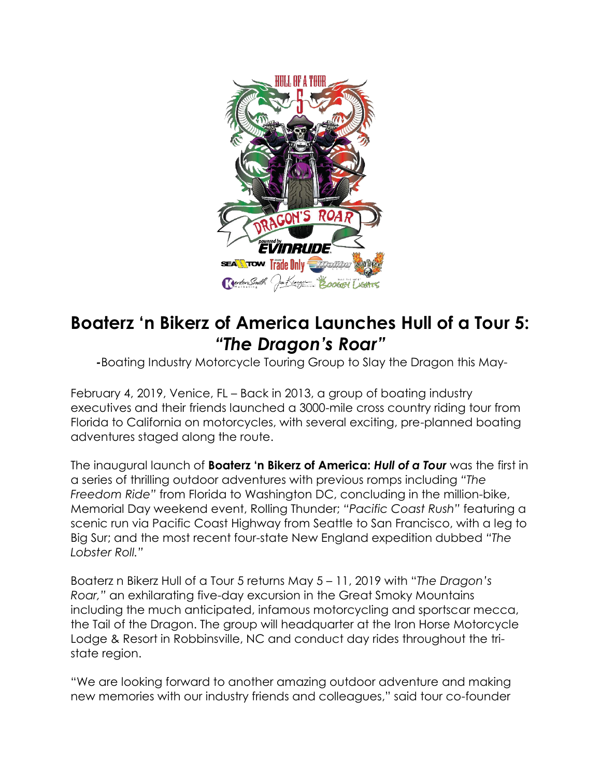

## **Boaterz 'n Bikerz of America Launches Hull of a Tour 5:** *"The Dragon's Roar"*

*-*Boating Industry Motorcycle Touring Group to Slay the Dragon this May-

February 4, 2019, Venice, FL – Back in 2013, a group of boating industry executives and their friends launched a 3000-mile cross country riding tour from Florida to California on motorcycles, with several exciting, pre-planned boating adventures staged along the route.

The inaugural launch of **Boaterz 'n Bikerz of America:** *Hull of a Tour* was the first in a series of thrilling outdoor adventures with previous romps including *"The Freedom Ride"* from Florida to Washington DC, concluding in the million-bike, Memorial Day weekend event, Rolling Thunder; *"Pacific Coast Rush"* featuring a scenic run via Pacific Coast Highway from Seattle to San Francisco, with a leg to Big Sur; and the most recent four-state New England expedition dubbed *"The Lobster Roll."*

Boaterz n Bikerz Hull of a Tour 5 returns May 5 – 11, 2019 with "*The Dragon's Roar,"* an exhilarating five-day excursion in the Great Smoky Mountains including the much anticipated, infamous motorcycling and sportscar mecca, the Tail of the Dragon. The group will headquarter at the Iron Horse Motorcycle Lodge & Resort in Robbinsville, NC and conduct day rides throughout the tristate region.

"We are looking forward to another amazing outdoor adventure and making new memories with our industry friends and colleagues," said tour co-founder